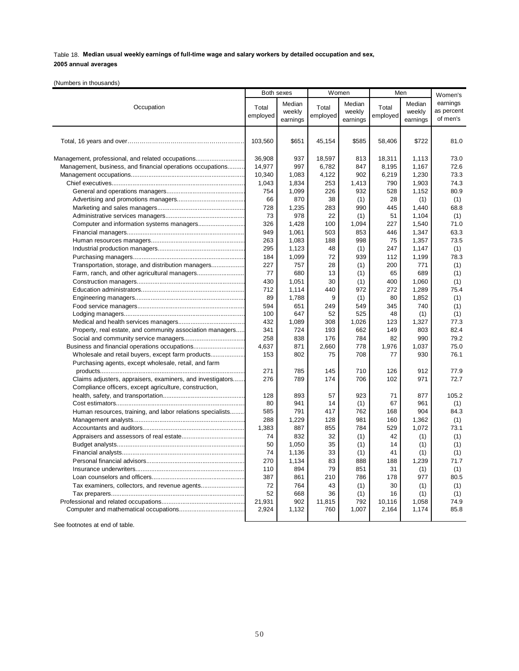|  | (Numbers in thousands) |  |
|--|------------------------|--|
|  |                        |  |

|                                                            | Both sexes |          |          | Women    | Men      |          | Women's    |
|------------------------------------------------------------|------------|----------|----------|----------|----------|----------|------------|
|                                                            |            | Median   |          | Median   |          | Median   | earnings   |
| Occupation                                                 | Total      | weekly   | Total    | weekly   | Total    | weekly   | as percent |
|                                                            | employed   | earnings | employed | earnings | employed | earnings | of men's   |
|                                                            |            |          |          |          |          |          |            |
|                                                            |            |          |          |          |          |          |            |
|                                                            | 103,560    | \$651    | 45,154   | \$585    | 58,406   | \$722    | 81.0       |
|                                                            |            |          |          |          |          |          |            |
| Management, professional, and related occupations          | 36,908     | 937      | 18,597   | 813      | 18,311   | 1,113    | 73.0       |
| Management, business, and financial operations occupations | 14,977     | 997      | 6,782    | 847      | 8,195    | 1,167    | 72.6       |
|                                                            | 10,340     | 1,083    | 4,122    | 902      | 6,219    | 1,230    | 73.3       |
|                                                            | 1,043      | 1,834    | 253      | 1,413    | 790      | 1,903    | 74.3       |
|                                                            | 754        | 1,099    | 226      | 932      | 528      | 1,152    | 80.9       |
|                                                            | 66         | 870      | 38       | (1)      | 28       | (1)      | (1)        |
|                                                            | 728        | 1,235    | 283      | 990      | 445      | 1,440    | 68.8       |
|                                                            | 73         | 978      | 22       | (1)      | 51       | 1,104    | (1)        |
|                                                            | 326        | 1,428    | 100      | 1,094    | 227      | 1,540    | 71.0       |
|                                                            | 949        | 1,061    | 503      | 853      | 446      | 1,347    | 63.3       |
|                                                            | 263        | 1,083    | 188      | 998      | 75       | 1,357    | 73.5       |
|                                                            | 295        | 1,123    | 48       | (1)      | 247      | 1,147    | (1)        |
|                                                            | 184        | 1,099    | 72       | 939      | 112      | 1,199    | 78.3       |
| Transportation, storage, and distribution managers         | 227        | 757      | 28       | (1)      | 200      | 771      | (1)        |
| Farm, ranch, and other agricultural managers               | 77         | 680      | 13       | (1)      | 65       | 689      | (1)        |
|                                                            | 430        | 1.051    | 30       | (1)      | 400      | 1,060    | (1)        |
|                                                            | 712        | 1,114    | 440      | 972      | 272      | 1,289    | 75.4       |
|                                                            | 89         | 1,788    | 9        | (1)      | 80       | 1,852    | (1)        |
|                                                            | 594        | 651      | 249      | 549      | 345      | 740      | (1)        |
|                                                            | 100        | 647      | 52       | 525      | 48       | (1)      | (1)        |
|                                                            | 432        | 1,089    | 308      | 1,026    | 123      | 1,327    | 77.3       |
| Property, real estate, and community association managers  | 341        | 724      | 193      | 662      | 149      | 803      | 82.4       |
|                                                            | 258        | 838      | 176      | 784      | 82       | 990      | 79.2       |
| Business and financial operations occupations              | 4,637      | 871      | 2,660    | 778      | 1.976    | 1,037    | 75.0       |
| Wholesale and retail buyers, except farm products          | 153        | 802      | 75       | 708      | 77       | 930      | 76.1       |
| Purchasing agents, except wholesale, retail, and farm      |            |          |          |          |          |          |            |
|                                                            | 271        | 785      | 145      | 710      | 126      | 912      | 77.9       |
| Claims adjusters, appraisers, examiners, and investigators | 276        | 789      | 174      | 706      | 102      | 971      | 72.7       |
| Compliance officers, except agriculture, construction,     |            |          |          |          |          |          |            |
|                                                            | 128        | 893      | 57       | 923      | 71       | 877      | 105.2      |
|                                                            | 80         | 941      | 14       | (1)      | 67       | 961      | (1)        |
| Human resources, training, and labor relations specialists | 585        | 791      | 417      | 762      | 168      | 904      | 84.3       |
|                                                            | 288        | 1,229    | 128      | 981      | 160      | 1,362    | (1)        |
|                                                            | 1,383      | 887      | 855      | 784      | 529      | 1,072    | 73.1       |
|                                                            | 74         | 832      | 32       | (1)      | 42       | (1)      | (1)        |
|                                                            | 50         | 1,050    | 35       | (1)      | 14       | (1)      | (1)        |
|                                                            | 74         | 1,136    | 33       | (1)      | 41       | (1)      | (1)        |
|                                                            | 270        | 1,134    | 83       | 888      | 188      | 1,239    | 71.7       |
|                                                            | 110        | 894      | 79       | 851      | 31       | (1)      | (1)        |
|                                                            | 387        | 861      | 210      | 786      | 178      | 977      | 80.5       |
|                                                            | 72         | 764      | 43       | (1)      | 30       | (1)      | (1)        |
|                                                            | 52         | 668      | 36       | (1)      | 16       | (1)      | (1)        |
|                                                            | 21,931     | 902      | 11,815   | 792      | 10,116   | 1,058    | 74.9       |
|                                                            | 2,924      | 1,132    | 760      | 1,007    | 2,164    | 1,174    | 85.8       |
|                                                            |            |          |          |          |          |          |            |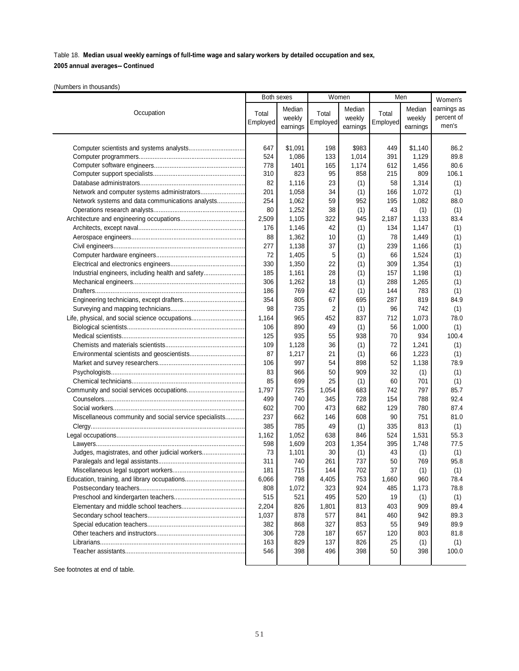## **2005 annual averages-- Continued**

(Numbers in thousands)

|                                                        | Both sexes |          | Women    |          | Men      |          | Women's     |
|--------------------------------------------------------|------------|----------|----------|----------|----------|----------|-------------|
|                                                        |            | Median   |          | Median   |          | Median   | earnings as |
| Occupation                                             | Total      | weekly   | Total    | weekly   | Total    | weekly   | percent of  |
|                                                        | Employed   | earnings | Employed | earnings | Employed | earnings | men's       |
|                                                        |            |          |          |          |          |          |             |
|                                                        | 647        | \$1,091  | 198      | \$983    | 449      | \$1,140  | 86.2        |
|                                                        | 524        | 1,086    | 133      | 1,014    | 391      | 1,129    | 89.8        |
|                                                        | 778        | 1401     | 165      | 1,174    | 612      | 1,456    | 80.6        |
|                                                        | 310        | 823      | 95       | 858      | 215      | 809      | 106.1       |
|                                                        | 82         | 1,116    | 23       | (1)      | 58       | 1,314    | (1)         |
|                                                        | 201        | 1,058    | 34       | (1)      | 166      | 1,072    | (1)         |
| Network systems and data communications analysts       | 254        | 1,062    | 59       | 952      | 195      | 1,082    | 88.0        |
|                                                        | 80         | 1,252    | 38       | (1)      | 43       | (1)      | (1)         |
|                                                        | 2,509      | 1,105    | 322      | 945      | 2,187    | 1,133    | 83.4        |
|                                                        | 176        | 1,146    | 42       | (1)      | 134      | 1,147    | (1)         |
|                                                        | 88         | 1,362    | 10       | (1)      | 78       | 1,449    | (1)         |
|                                                        | 277        | 1,138    | 37       | (1)      | 239      | 1,166    | (1)         |
|                                                        | 72         | 1,405    | 5        | (1)      | 66       | 1,524    | (1)         |
|                                                        | 330        | 1,350    | 22       | (1)      | 309      | 1,354    | (1)         |
| Industrial engineers, including health and safety      | 185        | 1,161    | 28       | (1)      | 157      | 1,198    | (1)         |
|                                                        | 306        | 1,262    | 18       | (1)      | 288      | 1,265    | (1)         |
|                                                        | 186        | 769      | 42       | (1)      | 144      | 783      | (1)         |
|                                                        | 354        | 805      | 67       | 695      | 287      | 819      | 84.9        |
|                                                        | 98         | 735      | 2        | (1)      | 96       | 742      | (1)         |
| Life, physical, and social science occupations         | 1,164      | 965      | 452      | 837      | 712      | 1,073    | 78.0        |
|                                                        | 106        | 890      | 49       | (1)      | 56       | 1,000    | (1)         |
|                                                        | 125        | 935      | 55       | 938      | 70       | 934      | 100.4       |
|                                                        | 109        | 1,128    | 36       | (1)      | 72       | 1,241    | (1)         |
|                                                        | 87         | 1,217    | 21       | (1)      | 66       | 1,223    | (1)         |
|                                                        | 106        | 997      | 54       | 898      | 52       | 1,138    | 78.9        |
|                                                        | 83         | 966      | 50       | 909      | 32       | (1)      | (1)         |
|                                                        | 85         | 699      | 25       | (1)      | 60       | 701      | (1)         |
|                                                        | 1,797      | 725      | 1,054    | 683      | 742      | 797      | 85.7        |
|                                                        | 499        | 740      | 345      | 728      | 154      | 788      | 92.4        |
|                                                        | 602        | 700      | 473      | 682      | 129      | 780      | 87.4        |
| Miscellaneous community and social service specialists | 237        | 662      | 146      | 608      | 90       | 751      | 81.0        |
|                                                        | 385        | 785      | 49       | (1)      | 335      | 813      | (1)         |
|                                                        | 1,162      | 1,052    | 638      | 846      | 524      | 1,531    | 55.3        |
|                                                        | 598        | 1,609    | 203      | 1,354    | 395      | 1,748    | 77.5        |
| Judges, magistrates, and other judicial workers        | 73         | 1,101    | 30       | (1)      | 43       | (1)      | (1)         |
|                                                        | 311        | 740      | 261      | 737      | 50       | 769      | 95.8        |
| Miscellaneous legal support workers                    | 181        | 715      | 144      | 702      | 37       | (1)      |             |
|                                                        | 6,066      |          | 4,405    |          |          |          | (1)         |
|                                                        |            | 798      |          | 753      | 1,660    | 960      | 78.4        |
|                                                        | 808<br>515 | 1,072    | 323      | 924      | 485      | 1,173    | 78.8        |
|                                                        |            | 521      | 495      | 520      | 19       | (1)      | (1)         |
|                                                        | 2,204      | 826      | 1,801    | 813      | 403      | 909      | 89.4        |
|                                                        | 1,037      | 878      | 577      | 841      | 460      | 942      | 89.3        |
|                                                        | 382        | 868      | 327      | 853      | 55       | 949      | 89.9        |
|                                                        | 306        | 728      | 187      | 657      | 120      | 803      | 81.8        |
|                                                        | 163        | 829      | 137      | 826      | 25       | (1)      | (1)         |
|                                                        | 546        | 398      | 496      | 398      | 50       | 398      | 100.0       |
|                                                        |            |          |          |          |          |          |             |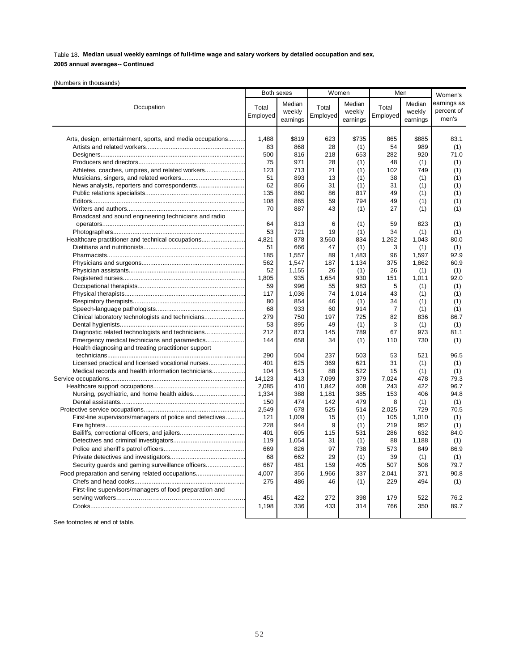**2005 annual averages-- Continued**

(Numbers in thousands)

|                                                            | Both sexes |          | Women    |            | Men            |          | Women's     |
|------------------------------------------------------------|------------|----------|----------|------------|----------------|----------|-------------|
|                                                            |            | Median   |          | Median     |                | Median   | earnings as |
| Occupation                                                 | Total      | weekly   | Total    | weekly     | Total          | weekly   | percent of  |
|                                                            | Employed   | earnings | Employed | earnings   | Employed       | earnings | men's       |
|                                                            |            |          |          |            |                |          |             |
| Arts, design, entertainment, sports, and media occupations | 1.488      | \$819    | 623      | \$735      | 865            | \$885    | 83.1        |
|                                                            | 83         | 868      | 28       |            | 54             | 989      |             |
|                                                            | 500        | 816      | 218      | (1)<br>653 | 282            | 920      | (1)<br>71.0 |
|                                                            | 75         | 971      | 28       | (1)        | 48             | (1)      |             |
| Athletes, coaches, umpires, and related workers            | 123        | 713      | 21       | (1)        | 102            | 749      | (1)<br>(1)  |
|                                                            | 51         | 893      | 13       | (1)        | 38             | (1)      | (1)         |
|                                                            | 62         | 866      | 31       | (1)        | 31             | (1)      | (1)         |
|                                                            | 135        | 860      | 86       | 817        | 49             | (1)      | (1)         |
|                                                            | 108        | 865      | 59       | 794        | 49             | (1)      | (1)         |
|                                                            | 70         | 887      | 43       | (1)        | 27             | (1)      | (1)         |
| Broadcast and sound engineering technicians and radio      |            |          |          |            |                |          |             |
|                                                            | 64         | 813      | 6        | (1)        | 59             | 823      | (1)         |
|                                                            | 53         | 721      | 19       | (1)        | 34             | (1)      | (1)         |
| Healthcare practitioner and technical occupations          | 4.821      | 878      | 3.560    | 834        | 1,262          | 1,043    | 80.0        |
|                                                            | 51         | 666      | 47       | (1)        | 3              | (1)      | (1)         |
|                                                            | 185        | 1,557    | 89       | 1,483      | 96             | 1,597    | 92.9        |
|                                                            | 562        | 1,547    | 187      | 1,134      | 375            | 1,862    | 60.9        |
|                                                            | 52         | 1,155    | 26       | (1)        | 26             | (1)      | (1)         |
|                                                            | 1,805      | 935      | 1,654    | 930        | 151            | 1,011    | 92.0        |
|                                                            | 59         | 996      | 55       | 983        | 5              | (1)      | (1)         |
|                                                            | 117        | 1,036    | 74       | 1,014      | 43             | (1)      | (1)         |
|                                                            | 80         | 854      | 46       | (1)        | 34             | (1)      | (1)         |
|                                                            | 68         | 933      | 60       | 914        | $\overline{7}$ | (1)      | (1)         |
| Clinical laboratory technologists and technicians          | 279        | 750      | 197      | 725        | 82             | 836      | 86.7        |
|                                                            | 53         | 895      | 49       | (1)        | 3              | (1)      | (1)         |
|                                                            | 212        | 873      | 145      | 789        | 67             | 973      | 81.1        |
|                                                            | 144        | 658      | 34       | (1)        | 110            | 730      | (1)         |
| Health diagnosing and treating practitioner support        |            |          |          |            |                |          |             |
|                                                            | 290        | 504      | 237      | 503        | 53             | 521      | 96.5        |
|                                                            | 401        | 625      | 369      | 621        | 31             | (1)      | (1)         |
| Medical records and health information technicians         | 104        | 543      | 88       | 522        | 15             | (1)      | (1)         |
|                                                            | 14,123     | 413      | 7,099    | 379        | 7,024          | 478      | 79.3        |
|                                                            | 2,085      | 410      | 1,842    | 408        | 243            | 422      | 96.7        |
|                                                            | 1,334      | 388      | 1,181    | 385        | 153            | 406      | 94.8        |
|                                                            | 150        | 474      | 142      | 479        | 8              | (1)      | (1)         |
|                                                            | 2,549      | 678      | 525      | 514        | 2,025          | 729      | 70.5        |
| First-line supervisors/managers of police and detectives   | 121        | 1.009    | 15       | (1)        | 105            | 1,010    | (1)         |
|                                                            | 228        | 944      | 9        | (1)        | 219            | 952      | (1)         |
|                                                            | 401        | 605      | 115      | 531        | 286            | 632      | 84.0        |
|                                                            | 119        | 1,054    | 31       | (1)        | 88             | 1,188    | (1)         |
|                                                            | 669        | 826      | 97       | 738        | 573            | 849      | 86.9        |
|                                                            | 68         | 662      | 29       | (1)        | 39             | (1)      | (1)         |
| Security guards and gaming surveillance officers           | 667        | 481      | 159      | 405        | 507            | 508      | 79.7        |
| Food preparation and serving related occupations           | 4,007      | 356      | 1,966    | 337        | 2,041          | 371      | 90.8        |
|                                                            | 275        | 486      | 46       | (1)        | 229            | 494      | (1)         |
| First-line supervisors/managers of food preparation and    |            |          |          |            |                |          |             |
|                                                            | 451        | 422      | 272      | 398        | 179            | 522      | 76.2        |
|                                                            | 1,198      | 336      | 433      | 314        | 766            | 350      | 89.7        |
|                                                            |            |          |          |            |                |          |             |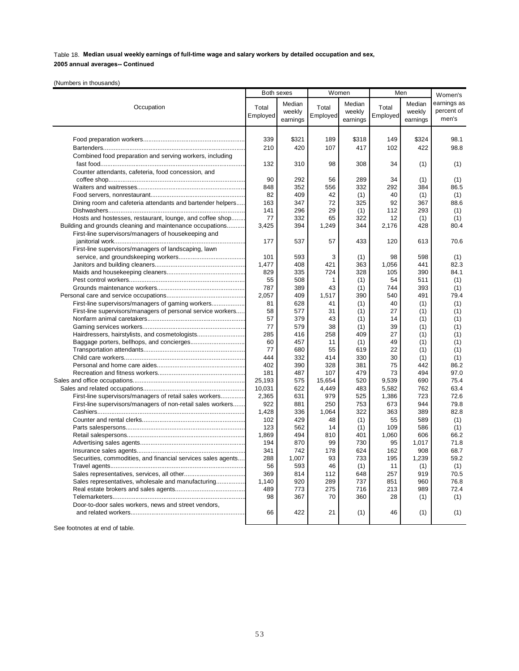## **2005 annual averages-- Continued**

(Numbers in thousands)

|                                                              | Both sexes   |            | Women     |            | Men       |            | Women's      |
|--------------------------------------------------------------|--------------|------------|-----------|------------|-----------|------------|--------------|
|                                                              |              | Median     |           | Median     |           | Median     | earnings as  |
| Occupation                                                   | Total        | weekly     | Total     | weekly     | Total     | weekly     | percent of   |
|                                                              | Employed     | earnings   | Employed  | earnings   | Employed  | earnings   | men's        |
|                                                              |              |            |           |            |           |            |              |
|                                                              |              |            |           |            |           |            |              |
|                                                              | 339          | \$321      | 189       | \$318      | 149       | \$324      | 98.1         |
|                                                              | 210          | 420        | 107       | 417        | 102       | 422        | 98.8         |
| Combined food preparation and serving workers, including     |              |            |           |            |           |            |              |
|                                                              | 132          | 310        | 98        | 308        | 34        | (1)        | (1)          |
| Counter attendants, cafeteria, food concession, and          |              |            |           |            |           |            |              |
|                                                              | 90           | 292        | 56        | 289        | 34        | (1)        | (1)          |
|                                                              | 848          | 352        | 556       | 332        | 292       | 384        | 86.5         |
|                                                              | 82           | 409        | 42        | (1)        | 40        | (1)        | (1)          |
| Dining room and cafeteria attendants and bartender helpers   | 163          | 347        | 72        | 325        | 92        | 367        | 88.6         |
|                                                              | 141          | 296        | 29        | (1)        | 112       | 293        | (1)          |
| Hosts and hostesses, restaurant, lounge, and coffee shop     | 77           | 332        | 65        | 322        | 12        | (1)        | (1)          |
| Building and grounds cleaning and maintenance occupations    | 3,425        | 394        | 1,249     | 344        | 2,176     | 428        | 80.4         |
| First-line supervisors/managers of housekeeping and          |              |            |           |            |           |            |              |
|                                                              | 177          | 537        | 57        | 433        | 120       | 613        | 70.6         |
| First-line supervisors/managers of landscaping, lawn         |              |            |           |            |           |            |              |
|                                                              | 101          | 593        | 3         | (1)        | 98        | 598        | (1)          |
|                                                              | 1,477        | 408        | 421       | 363        | 1,056     | 441        | 82.3         |
|                                                              | 829          | 335        | 724       | 328        | 105       | 390        | 84.1         |
|                                                              | 55           | 508        | 1         | (1)        | 54        | 511        | (1)          |
|                                                              | 787          | 389        | 43        | (1)        | 744       | 393        | (1)          |
|                                                              | 2,057        | 409        | 1,517     | 390        | 540       | 491        | 79.4         |
| First-line supervisors/managers of gaming workers            | 81           | 628        | 41        | (1)        | 40        | (1)        | (1)          |
| First-line supervisors/managers of personal service workers  | 58           | 577        | 31        | (1)        | 27        | (1)        | (1)          |
|                                                              | 57           | 379        | 43        | (1)        | 14        | (1)        | (1)          |
|                                                              | 77           | 579        | 38        | (1)        | 39        | (1)        | (1)          |
| Hairdressers, hairstylists, and cosmetologists               | 285          | 416        | 258       | 409        | 27        | (1)        | (1)          |
|                                                              | 60           | 457        | 11        | (1)        | 49        | (1)        | (1)          |
|                                                              | 77           | 680        | 55        | 619        | 22        | (1)        | (1)          |
|                                                              | 444          | 332        | 414       | 330        | 30        | (1)        | (1)          |
|                                                              | 402          | 390        | 328       | 381        | 75        | 442        | 86.2         |
|                                                              | 181          | 487        | 107       | 479        | 73        | 494        | 97.0         |
|                                                              | 25,193       | 575        | 15,654    | 520        | 9,539     | 690        | 75.4         |
|                                                              | 10,031       | 622        | 4,449     | 483        | 5,582     | 762        | 63.4         |
| First-line supervisors/managers of retail sales workers      | 2,365        | 631        | 979       | 525        | 1,386     | 723        | 72.6         |
| First-line supervisors/managers of non-retail sales workers  | 922          | 881        | 250       | 753        | 673       | 944        | 79.8         |
|                                                              | 1,428        | 336        | 1,064     | 322        | 363       | 389        | 82.8         |
|                                                              | 102          | 429        | 48        | (1)        | 55        | 589        | (1)          |
|                                                              | 123          | 562        | 14        | (1)        | 109       | 586        | (1)          |
|                                                              | 1.869        | 494        | 810       | 401        | 1,060     | 606        | 66.2         |
|                                                              | 194          | 870        | 99        | 730        | 95        | 1.017      | 71.8         |
|                                                              | 341          | 742        | 178       | 624        | 162       | 908        | 68.7         |
| Securities, commodities, and financial services sales agents | 288          | 1,007      | 93        | 733        | 195       | 1,239      | 59.2         |
|                                                              | 56<br>369    | 593        | 46        | (1)        | 11        | (1)        | (1)<br>70.5  |
|                                                              |              | 814        | 112       | 648        | 257       | 919        |              |
| Sales representatives, wholesale and manufacturing           | 1,140<br>489 | 920        | 289       | 737        | 851       | 960<br>989 | 76.8<br>72.4 |
|                                                              | 98           | 773<br>367 | 275<br>70 | 716<br>360 | 213<br>28 |            |              |
| Door-to-door sales workers, news and street vendors,         |              |            |           |            |           | (1)        | (1)          |
|                                                              | 66           | 422        | 21        | (1)        | 46        | (1)        | (1)          |
|                                                              |              |            |           |            |           |            |              |
|                                                              |              |            |           |            |           |            |              |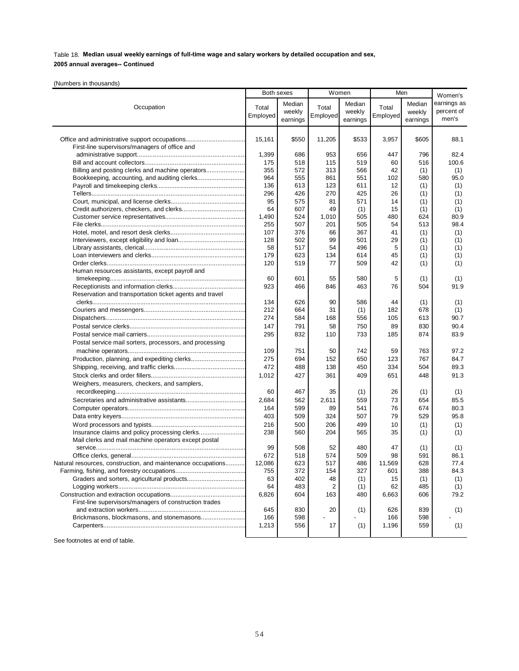## **2005 annual averages-- Continued**

(Numbers in thousands)

|                                                              | Both sexes |          | Women    |          | Men      |          | Women's     |
|--------------------------------------------------------------|------------|----------|----------|----------|----------|----------|-------------|
|                                                              |            | Median   |          | Median   |          | Median   | earnings as |
| Occupation                                                   | Total      | weekly   | Total    | weekly   | Total    | weekly   | percent of  |
|                                                              | Employed   | earnings | Employed | earnings | Employed | earnings | men's       |
|                                                              |            |          |          |          |          |          |             |
|                                                              |            | \$550    |          |          |          | \$605    |             |
| Office and administrative support occupations                | 15,161     |          | 11,205   | \$533    | 3,957    |          | 88.1        |
| First-line supervisors/managers of office and                | 1,399      | 686      | 953      | 656      | 447      | 796      | 82.4        |
|                                                              | 175        | 518      | 115      | 519      | 60       | 516      | 100.6       |
| Billing and posting clerks and machine operators             | 355        | 572      | 313      | 566      | 42       | (1)      | (1)         |
| Bookkeeping, accounting, and auditing clerks                 | 964        | 555      | 861      | 551      | 102      | 580      | 95.0        |
|                                                              | 136        | 613      | 123      | 611      | 12       | (1)      | (1)         |
|                                                              | 296        | 426      | 270      | 425      | 26       | (1)      | (1)         |
|                                                              | 95         | 575      | 81       | 571      | 14       | (1)      | (1)         |
|                                                              | 64         | 607      | 49       | (1)      | 15       | (1)      | (1)         |
|                                                              | 1,490      | 524      | 1,010    | 505      | 480      | 624      | 80.9        |
|                                                              | 255        | 507      | 201      | 505      | 54       | 513      | 98.4        |
|                                                              | 107        | 376      | 66       | 367      | 41       | (1)      | (1)         |
|                                                              | 128        | 502      | 99       | 501      | 29       | (1)      | (1)         |
|                                                              | 58         | 517      | 54       | 496      | 5        | (1)      | (1)         |
|                                                              | 179        | 623      | 134      | 614      | 45       | (1)      | (1)         |
|                                                              | 120        | 519      | 77       | 509      | 42       | (1)      | (1)         |
| Human resources assistants, except payroll and               |            |          |          |          |          |          |             |
|                                                              | 60         | 601      | 55       | 580      | 5        | (1)      | (1)         |
|                                                              | 923        | 466      | 846      | 463      | 76       | 504      | 91.9        |
| Reservation and transportation ticket agents and travel      |            |          |          |          |          |          |             |
|                                                              | 134        | 626      | 90       | 586      | 44       | (1)      | (1)         |
|                                                              | 212        | 664      | 31       | (1)      | 182      | 678      | (1)         |
|                                                              | 274        | 584      | 168      | 556      | 105      | 613      | 90.7        |
|                                                              | 147        | 791      | 58       | 750      | 89       | 830      | 90.4        |
|                                                              | 295        | 832      | 110      | 733      | 185      | 874      | 83.9        |
| Postal service mail sorters, processors, and processing      |            |          |          |          |          |          |             |
|                                                              | 109        | 751      | 50       | 742      | 59       | 763      | 97.2        |
|                                                              | 275        | 694      | 152      | 650      | 123      | 767      | 84.7        |
|                                                              | 472        | 488      | 138      | 450      | 334      | 504      | 89.3        |
|                                                              | 1,012      | 427      | 361      | 409      | 651      | 448      | 91.3        |
| Weighers, measurers, checkers, and samplers,                 |            |          |          |          |          |          |             |
|                                                              | 60         | 467      | 35       | (1)      | 26       | (1)      | (1)         |
|                                                              | 2,684      | 562      | 2,611    | 559      | 73       | 654      | 85.5        |
|                                                              | 164        | 599      | 89       | 541      | 76       | 674      | 80.3        |
|                                                              | 403        | 509      | 324      | 507      | 79       | 529      | 95.8        |
|                                                              | 216        | 500      | 206      | 499      | 10       | (1)      | (1)         |
| Insurance claims and policy processing clerks                | 238        | 560      | 204      | 565      | 35       | (1)      | (1)         |
| Mail clerks and mail machine operators except postal         |            |          |          |          |          |          |             |
|                                                              | 99         | 508      | 52       | 480      | 47       | (1)      | (1)         |
|                                                              | 672        | 518      | 574      | 509      | 98       | 591      | 86.1        |
| Natural resources, construction, and maintenance occupations | 12,086     | 623      | 517      | 486      | 11,569   | 628      | 77.4        |
|                                                              | 755        | 372      | 154      | 327      | 601      | 388      | 84.3        |
|                                                              | 63         | 402      | 48       | (1)      | 15       | (1)      | (1)         |
|                                                              | 64         | 483      | 2        | (1)      | 62       | 485      | (1)         |
|                                                              | 6,826      | 604      | 163      | 480      | 6,663    | 606      | 79.2        |
| First-line supervisors/managers of construction trades       |            |          |          |          |          |          |             |
|                                                              | 645        | 830      | 20       | (1)      | 626      | 839      | (1)         |
| Brickmasons, blockmasons, and stonemasons                    | 166        | 598      | 17       |          | 166      | 598      |             |
|                                                              | 1,213      | 556      |          | (1)      | 1,196    | 559      | (1)         |
|                                                              |            |          |          |          |          |          |             |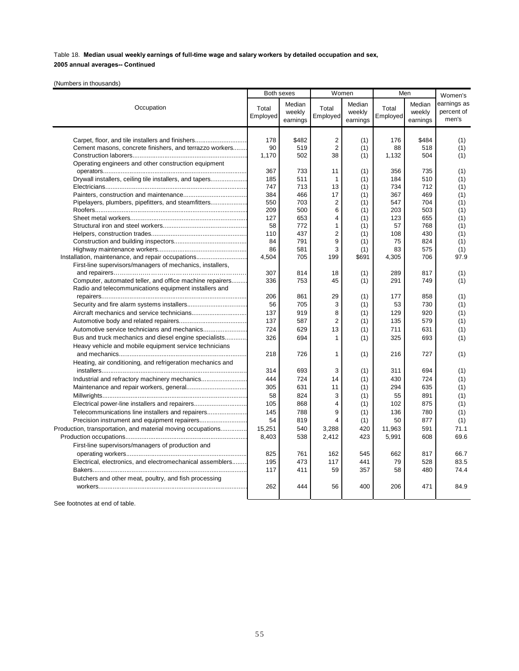## **2005 annual averages-- Continued**

(Numbers in thousands)

|                                                             | Both sexes |          |                         | Women    | Men      |          | Women's     |
|-------------------------------------------------------------|------------|----------|-------------------------|----------|----------|----------|-------------|
|                                                             |            | Median   |                         | Median   |          | Median   | earnings as |
| Occupation                                                  | Total      | weekly   | Total                   | weekly   | Total    | weekly   | percent of  |
|                                                             | Employed   | earnings | Employed                | earnings | Employed | earnings | men's       |
|                                                             |            |          |                         |          |          |          |             |
|                                                             |            |          |                         |          |          |          |             |
| Carpet, floor, and tile installers and finishers            | 178        | \$482    | $\overline{2}$          | (1)      | 176      | \$484    | (1)         |
| Cement masons, concrete finishers, and terrazzo workers     | 90         | 519      | $\overline{2}$          | (1)      | 88       | 518      | (1)         |
|                                                             | 1.170      | 502      | 38                      | (1)      | 1,132    | 504      | (1)         |
| Operating engineers and other construction equipment        | 367        | 733      | 11                      | (1)      | 356      | 735      | (1)         |
| Drywall installers, ceiling tile installers, and tapers     | 185        | 511      | $\overline{1}$          | (1)      | 184      | 510      | (1)         |
|                                                             | 747        | 713      | 13                      | (1)      | 734      | 712      | (1)         |
|                                                             | 384        | 466      | 17                      | (1)      | 367      | 469      | (1)         |
| Pipelayers, plumbers, pipefitters, and steamfitters         | 550        | 703      | 2                       | (1)      | 547      | 704      | (1)         |
|                                                             | 209        | 500      | 6                       | (1)      | 203      | 503      | (1)         |
|                                                             | 127        | 653      | $\overline{\mathbf{4}}$ | (1)      | 123      | 655      | (1)         |
|                                                             | 58         | 772      | 1                       | (1)      | 57       | 768      | (1)         |
|                                                             | 110        | 437      | $\overline{2}$          | (1)      | 108      | 430      | (1)         |
|                                                             | 84         | 791      | 9                       | (1)      | 75       | 824      | (1)         |
|                                                             | 86         | 581      | 3                       | (1)      | 83       | 575      | (1)         |
| Installation, maintenance, and repair occupations           | 4,504      | 705      | 199                     | \$691    | 4,305    | 706      | 97.9        |
| First-line supervisors/managers of mechanics, installers,   |            |          |                         |          |          |          |             |
|                                                             | 307        | 814      | 18                      | (1)      | 289      | 817      | (1)         |
| Computer, automated teller, and office machine repairers    | 336        | 753      | 45                      | (1)      | 291      | 749      | (1)         |
| Radio and telecommunications equipment installers and       |            |          |                         |          |          |          |             |
|                                                             | 206        | 861      | 29                      | (1)      | 177      | 858      | (1)         |
|                                                             | 56         | 705      | 3                       | (1)      | 53       | 730      | (1)         |
|                                                             | 137        | 919      | 8                       | (1)      | 129      | 920      | (1)         |
|                                                             | 137        |          | $\overline{2}$          |          | 135      | 579      |             |
|                                                             |            | 587      |                         | (1)      |          |          | (1)         |
|                                                             | 724        | 629      | 13                      | (1)      | 711      | 631      | (1)         |
| Bus and truck mechanics and diesel engine specialists       | 326        | 694      | $\mathbf{1}$            | (1)      | 325      | 693      | (1)         |
| Heavy vehicle and mobile equipment service technicians      |            |          |                         |          |          |          |             |
|                                                             | 218        | 726      | 1                       | (1)      | 216      | 727      | (1)         |
| Heating, air conditioning, and refrigeration mechanics and  |            |          |                         |          |          |          |             |
|                                                             | 314        | 693      | 3                       | (1)      | 311      | 694      | (1)         |
|                                                             | 444        | 724      | 14                      | (1)      | 430      | 724      | (1)         |
|                                                             | 305        | 631      | 11                      | (1)      | 294      | 635      | (1)         |
|                                                             | 58         | 824      | 3                       | (1)      | 55       | 891      | (1)         |
|                                                             | 105        | 868      | $\overline{4}$          | (1)      | 102      | 875      | (1)         |
| Telecommunications line installers and repairers            | 145        | 788      | 9                       | (1)      | 136      | 780      | (1)         |
|                                                             | 54         | 819      | $\overline{4}$          | (1)      | 50       | 877      | (1)         |
| Production, transportation, and material moving occupations | 15,251     | 540      | 3,288                   | 420      | 11,963   | 591      | 71.1        |
|                                                             | 8,403      | 538      | 2,412                   | 423      | 5,991    | 608      | 69.6        |
| First-line supervisors/managers of production and           |            |          |                         |          |          |          |             |
|                                                             | 825        | 761      | 162                     | 545      | 662      | 817      | 66.7        |
| Electrical, electronics, and electromechanical assemblers   | 195        | 473      | 117                     | 441      | 79       | 528      | 83.5        |
|                                                             | 117        | 411      | 59                      | 357      | 58       | 480      | 74.4        |
| Butchers and other meat, poultry, and fish processing       |            |          |                         |          |          |          |             |
|                                                             | 262        | 444      | 56                      | 400      | 206      | 471      | 84.9        |
|                                                             |            |          |                         |          |          |          |             |